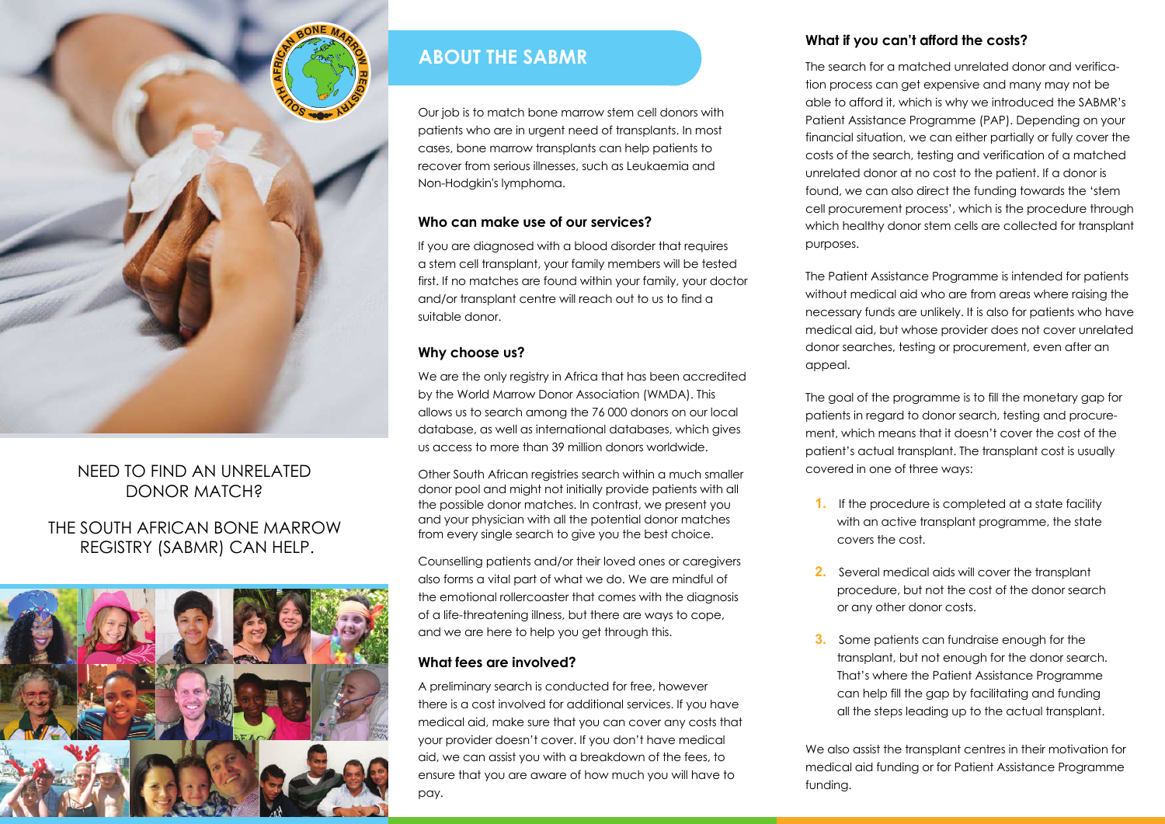

# NEED TO FIND AN UNRELATED DONOR MATCH?

# THE SOUTH AFRICAN BONE MARROW REGISTRY (SABMR) CAN HELP.



# **ABOUT THE SABMR**

Our job is to match bone marrow stem cell donors with patients who are in urgent need of transplants. In most cases, bone marrow transplants can help patients to recover from serious illnesses, such as Leukaemia and Non-Hodgkin's lymphoma.

#### **Who can make use of our services?**

If you are diagnosed with a blood disorder that requires a stem cell transplant, your family members will be tested first. If no matches are found within your family, your doctor and/or transplant centre will reach out to us to find a suitable donor.

#### **Why choose us?**

We are the only registry in Africa that has been accredited by the World Marrow Donor Association (WMDA). This allows us to search among the 76 000 donors on our local database, as well as international databases, which gives us access to more than 39 million donors worldwide.

Other South African registries search within a much smaller donor pool and might not initially provide patients with all the possible donor matches. In contrast, we present you and your physician with all the potential donor matches from every single search to give you the best choice.

Counselling patients and/or their loved ones or caregivers also forms a vital part of what we do. We are mindful of the emotional rollercoaster that comes with the diagnosis of a life-threatening illness, but there are ways to cope, and we are here to help you get through this.

#### **What fees are involved?**

A preliminary search is conducted for free, however there is a cost involved for additional services. If you have medical aid, make sure that you can cover any costs that your provider doesn't cover. If you don't have medical aid, we can assist you with a breakdown of the fees, to ensure that you are aware of how much you will have to pay.

#### **What if you can't afford the costs?**

The search for a matched unrelated donor and verification process can get expensive and many may not be able to afford it, which is why we introduced the SABMR's Patient Assistance Programme (PAP). Depending on your financial situation, we can either partially or fully cover the costs of the search, testing and verification of a matched unrelated donor at no cost to the patient. If a donor is found, we can also direct the funding towards the 'stem cell procurement process', which is the procedure through which healthy donor stem cells are collected for transplant purposes.

The Patient Assistance Programme is intended for patients without medical aid who are from areas where raising the necessary funds are unlikely. It is also for patients who have medical aid, but whose provider does not cover unrelated donor searches, testing or procurement, even after an appeal.

The goal of the programme is to fill the monetary gap for patients in regard to donor search, testing and procurement, which means that it doesn't cover the cost of the patient's actual transplant. The transplant cost is usually covered in one of three ways:

- **1.** If the procedure is completed at a state facility with an active transplant programme, the state covers the cost.
- **2.** Several medical aids will cover the transplant procedure, but not the cost of the donor search or any other donor costs.
- **3.** Some patients can fundraise enough for the transplant, but not enough for the donor search. That's where the Patient Assistance Programme can help fill the gap by facilitating and funding all the steps leading up to the actual transplant.

We also assist the transplant centres in their motivation for medical aid funding or for Patient Assistance Programme funding.